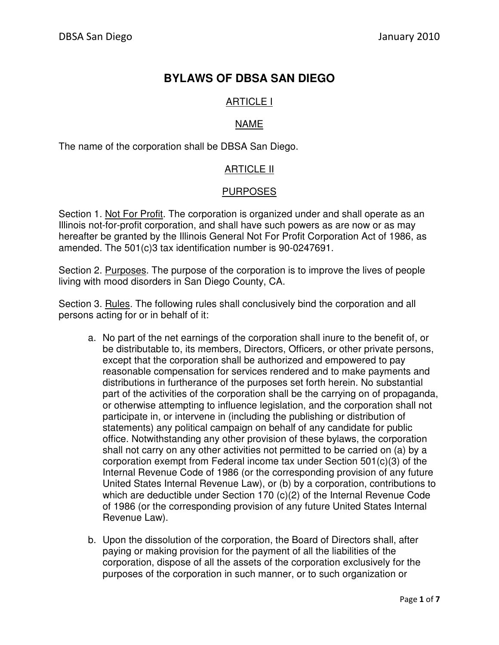# **BYLAWS OF DBSA SAN DIEGO**

## ARTICLE I

## NAME

The name of the corporation shall be DBSA San Diego.

### ARTICLE II

### PURPOSES

Section 1. Not For Profit. The corporation is organized under and shall operate as an Illinois not-for-profit corporation, and shall have such powers as are now or as may hereafter be granted by the Illinois General Not For Profit Corporation Act of 1986, as amended. The 501(c)3 tax identification number is 90-0247691.

Section 2. Purposes. The purpose of the corporation is to improve the lives of people living with mood disorders in San Diego County, CA.

Section 3. Rules. The following rules shall conclusively bind the corporation and all persons acting for or in behalf of it:

- a. No part of the net earnings of the corporation shall inure to the benefit of, or be distributable to, its members, Directors, Officers, or other private persons, except that the corporation shall be authorized and empowered to pay reasonable compensation for services rendered and to make payments and distributions in furtherance of the purposes set forth herein. No substantial part of the activities of the corporation shall be the carrying on of propaganda, or otherwise attempting to influence legislation, and the corporation shall not participate in, or intervene in (including the publishing or distribution of statements) any political campaign on behalf of any candidate for public office. Notwithstanding any other provision of these bylaws, the corporation shall not carry on any other activities not permitted to be carried on (a) by a corporation exempt from Federal income tax under Section 501(c)(3) of the Internal Revenue Code of 1986 (or the corresponding provision of any future United States Internal Revenue Law), or (b) by a corporation, contributions to which are deductible under Section 170 (c)(2) of the Internal Revenue Code of 1986 (or the corresponding provision of any future United States Internal Revenue Law).
- b. Upon the dissolution of the corporation, the Board of Directors shall, after paying or making provision for the payment of all the liabilities of the corporation, dispose of all the assets of the corporation exclusively for the purposes of the corporation in such manner, or to such organization or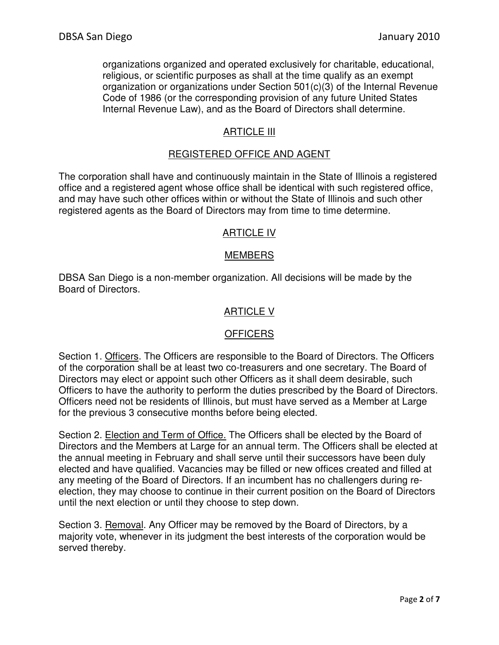organizations organized and operated exclusively for charitable, educational, religious, or scientific purposes as shall at the time qualify as an exempt organization or organizations under Section 501(c)(3) of the Internal Revenue Code of 1986 (or the corresponding provision of any future United States Internal Revenue Law), and as the Board of Directors shall determine.

### ARTICLE III

## REGISTERED OFFICE AND AGENT

The corporation shall have and continuously maintain in the State of Illinois a registered office and a registered agent whose office shall be identical with such registered office, and may have such other offices within or without the State of Illinois and such other registered agents as the Board of Directors may from time to time determine.

#### ARTICLE IV

#### MEMBERS

DBSA San Diego is a non-member organization. All decisions will be made by the Board of Directors.

#### ARTICLE V

#### **OFFICERS**

Section 1. Officers. The Officers are responsible to the Board of Directors. The Officers of the corporation shall be at least two co-treasurers and one secretary. The Board of Directors may elect or appoint such other Officers as it shall deem desirable, such Officers to have the authority to perform the duties prescribed by the Board of Directors. Officers need not be residents of Illinois, but must have served as a Member at Large for the previous 3 consecutive months before being elected.

Section 2. Election and Term of Office. The Officers shall be elected by the Board of Directors and the Members at Large for an annual term. The Officers shall be elected at the annual meeting in February and shall serve until their successors have been duly elected and have qualified. Vacancies may be filled or new offices created and filled at any meeting of the Board of Directors. If an incumbent has no challengers during reelection, they may choose to continue in their current position on the Board of Directors until the next election or until they choose to step down.

Section 3. Removal. Any Officer may be removed by the Board of Directors, by a majority vote, whenever in its judgment the best interests of the corporation would be served thereby.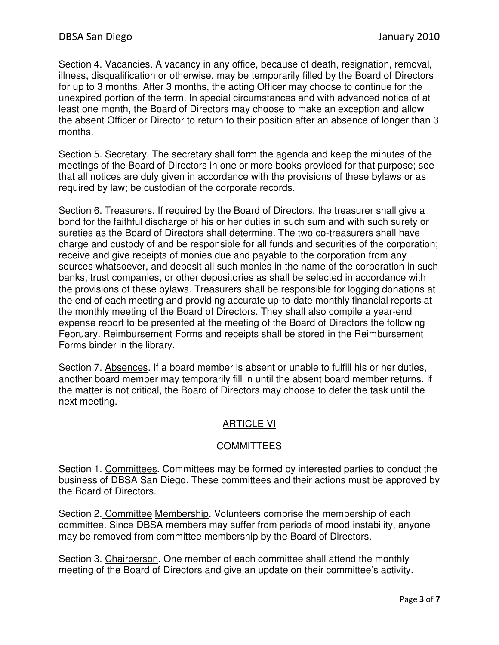Section 4. Vacancies. A vacancy in any office, because of death, resignation, removal, illness, disqualification or otherwise, may be temporarily filled by the Board of Directors for up to 3 months. After 3 months, the acting Officer may choose to continue for the unexpired portion of the term. In special circumstances and with advanced notice of at least one month, the Board of Directors may choose to make an exception and allow the absent Officer or Director to return to their position after an absence of longer than 3 months.

Section 5. Secretary. The secretary shall form the agenda and keep the minutes of the meetings of the Board of Directors in one or more books provided for that purpose; see that all notices are duly given in accordance with the provisions of these bylaws or as required by law; be custodian of the corporate records.

Section 6. Treasurers. If required by the Board of Directors, the treasurer shall give a bond for the faithful discharge of his or her duties in such sum and with such surety or sureties as the Board of Directors shall determine. The two co-treasurers shall have charge and custody of and be responsible for all funds and securities of the corporation; receive and give receipts of monies due and payable to the corporation from any sources whatsoever, and deposit all such monies in the name of the corporation in such banks, trust companies, or other depositories as shall be selected in accordance with the provisions of these bylaws. Treasurers shall be responsible for logging donations at the end of each meeting and providing accurate up-to-date monthly financial reports at the monthly meeting of the Board of Directors. They shall also compile a year-end expense report to be presented at the meeting of the Board of Directors the following February. Reimbursement Forms and receipts shall be stored in the Reimbursement Forms binder in the library.

Section 7. Absences. If a board member is absent or unable to fulfill his or her duties, another board member may temporarily fill in until the absent board member returns. If the matter is not critical, the Board of Directors may choose to defer the task until the next meeting.

## ARTICLE VI

### **COMMITTEES**

Section 1. Committees. Committees may be formed by interested parties to conduct the business of DBSA San Diego. These committees and their actions must be approved by the Board of Directors.

Section 2. Committee Membership. Volunteers comprise the membership of each committee. Since DBSA members may suffer from periods of mood instability, anyone may be removed from committee membership by the Board of Directors.

Section 3. Chairperson. One member of each committee shall attend the monthly meeting of the Board of Directors and give an update on their committee's activity.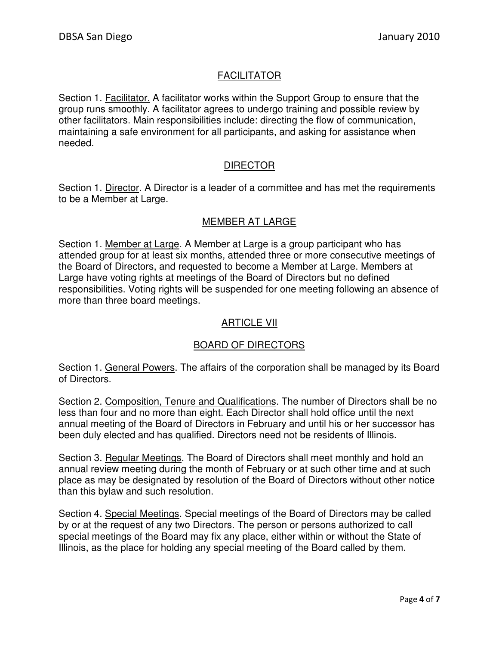## FACILITATOR

Section 1. Facilitator. A facilitator works within the Support Group to ensure that the group runs smoothly. A facilitator agrees to undergo training and possible review by other facilitators. Main responsibilities include: directing the flow of communication, maintaining a safe environment for all participants, and asking for assistance when needed.

## DIRECTOR

Section 1. Director. A Director is a leader of a committee and has met the requirements to be a Member at Large.

## MEMBER AT LARGE

Section 1. Member at Large. A Member at Large is a group participant who has attended group for at least six months, attended three or more consecutive meetings of the Board of Directors, and requested to become a Member at Large. Members at Large have voting rights at meetings of the Board of Directors but no defined responsibilities. Voting rights will be suspended for one meeting following an absence of more than three board meetings.

## ARTICLE VII

## BOARD OF DIRECTORS

Section 1. General Powers. The affairs of the corporation shall be managed by its Board of Directors.

Section 2. Composition, Tenure and Qualifications. The number of Directors shall be no less than four and no more than eight. Each Director shall hold office until the next annual meeting of the Board of Directors in February and until his or her successor has been duly elected and has qualified. Directors need not be residents of Illinois.

Section 3. Regular Meetings. The Board of Directors shall meet monthly and hold an annual review meeting during the month of February or at such other time and at such place as may be designated by resolution of the Board of Directors without other notice than this bylaw and such resolution.

Section 4. Special Meetings. Special meetings of the Board of Directors may be called by or at the request of any two Directors. The person or persons authorized to call special meetings of the Board may fix any place, either within or without the State of Illinois, as the place for holding any special meeting of the Board called by them.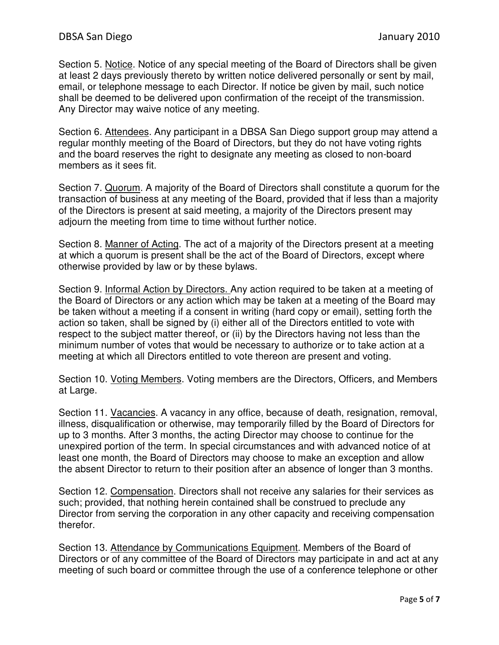Section 5. Notice. Notice of any special meeting of the Board of Directors shall be given at least 2 days previously thereto by written notice delivered personally or sent by mail, email, or telephone message to each Director. If notice be given by mail, such notice shall be deemed to be delivered upon confirmation of the receipt of the transmission. Any Director may waive notice of any meeting.

Section 6. Attendees. Any participant in a DBSA San Diego support group may attend a regular monthly meeting of the Board of Directors, but they do not have voting rights and the board reserves the right to designate any meeting as closed to non-board members as it sees fit.

Section 7. Quorum. A majority of the Board of Directors shall constitute a quorum for the transaction of business at any meeting of the Board, provided that if less than a majority of the Directors is present at said meeting, a majority of the Directors present may adjourn the meeting from time to time without further notice.

Section 8. Manner of Acting. The act of a majority of the Directors present at a meeting at which a quorum is present shall be the act of the Board of Directors, except where otherwise provided by law or by these bylaws.

Section 9. Informal Action by Directors. Any action required to be taken at a meeting of the Board of Directors or any action which may be taken at a meeting of the Board may be taken without a meeting if a consent in writing (hard copy or email), setting forth the action so taken, shall be signed by (i) either all of the Directors entitled to vote with respect to the subject matter thereof, or (ii) by the Directors having not less than the minimum number of votes that would be necessary to authorize or to take action at a meeting at which all Directors entitled to vote thereon are present and voting.

Section 10. Voting Members. Voting members are the Directors, Officers, and Members at Large.

Section 11. Vacancies. A vacancy in any office, because of death, resignation, removal, illness, disqualification or otherwise, may temporarily filled by the Board of Directors for up to 3 months. After 3 months, the acting Director may choose to continue for the unexpired portion of the term. In special circumstances and with advanced notice of at least one month, the Board of Directors may choose to make an exception and allow the absent Director to return to their position after an absence of longer than 3 months.

Section 12. Compensation. Directors shall not receive any salaries for their services as such; provided, that nothing herein contained shall be construed to preclude any Director from serving the corporation in any other capacity and receiving compensation therefor.

Section 13. Attendance by Communications Equipment. Members of the Board of Directors or of any committee of the Board of Directors may participate in and act at any meeting of such board or committee through the use of a conference telephone or other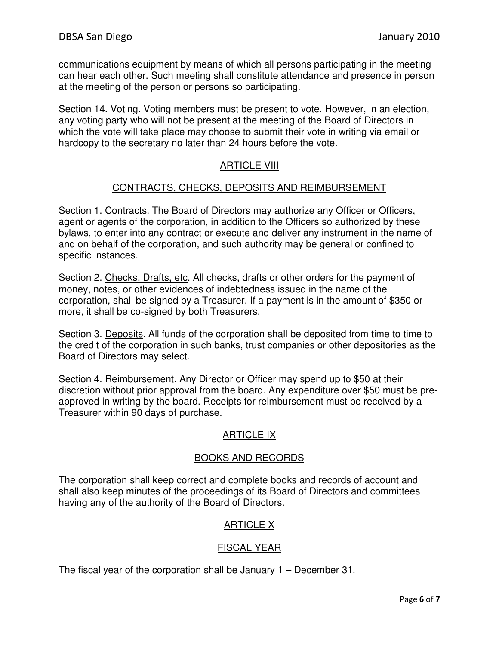communications equipment by means of which all persons participating in the meeting can hear each other. Such meeting shall constitute attendance and presence in person at the meeting of the person or persons so participating.

Section 14. Voting. Voting members must be present to vote. However, in an election, any voting party who will not be present at the meeting of the Board of Directors in which the vote will take place may choose to submit their vote in writing via email or hardcopy to the secretary no later than 24 hours before the vote.

## ARTICLE VIII

#### CONTRACTS, CHECKS, DEPOSITS AND REIMBURSEMENT

Section 1. Contracts. The Board of Directors may authorize any Officer or Officers, agent or agents of the corporation, in addition to the Officers so authorized by these bylaws, to enter into any contract or execute and deliver any instrument in the name of and on behalf of the corporation, and such authority may be general or confined to specific instances.

Section 2. Checks, Drafts, etc. All checks, drafts or other orders for the payment of money, notes, or other evidences of indebtedness issued in the name of the corporation, shall be signed by a Treasurer. If a payment is in the amount of \$350 or more, it shall be co-signed by both Treasurers.

Section 3. Deposits. All funds of the corporation shall be deposited from time to time to the credit of the corporation in such banks, trust companies or other depositories as the Board of Directors may select.

Section 4. Reimbursement. Any Director or Officer may spend up to \$50 at their discretion without prior approval from the board. Any expenditure over \$50 must be preapproved in writing by the board. Receipts for reimbursement must be received by a Treasurer within 90 days of purchase.

### ARTICLE IX

#### BOOKS AND RECORDS

The corporation shall keep correct and complete books and records of account and shall also keep minutes of the proceedings of its Board of Directors and committees having any of the authority of the Board of Directors.

### ARTICLE X

### FISCAL YEAR

The fiscal year of the corporation shall be January 1 – December 31.